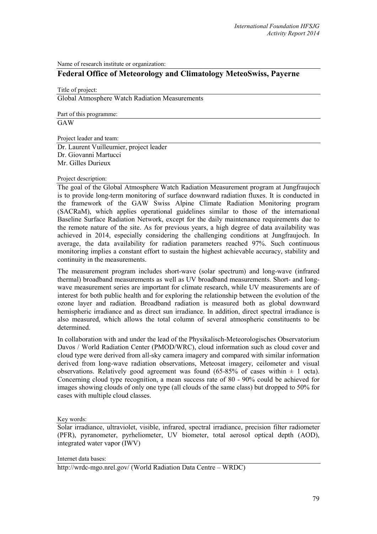Name of research institute or organization:

## **Federal Office of Meteorology and Climatology MeteoSwiss, Payerne**

Title of project: Global Atmosphere Watch Radiation Measurements

Part of this programme:

GAW

Project leader and team:

Dr. Laurent Vuilleumier, project leader Dr. Giovanni Martucci Mr. Gilles Durieux

## Project description:

The goal of the Global Atmosphere Watch Radiation Measurement program at Jungfraujoch is to provide long-term monitoring of surface downward radiation fluxes. It is conducted in the framework of the GAW Swiss Alpine Climate Radiation Monitoring program (SACRaM), which applies operational guidelines similar to those of the international Baseline Surface Radiation Network, except for the daily maintenance requirements due to the remote nature of the site. As for previous years, a high degree of data availability was achieved in 2014, especially considering the challenging conditions at Jungfraujoch. In average, the data availability for radiation parameters reached 97%. Such continuous monitoring implies a constant effort to sustain the highest achievable accuracy, stability and continuity in the measurements.

The measurement program includes short-wave (solar spectrum) and long-wave (infrared thermal) broadband measurements as well as UV broadband measurements. Short- and longwave measurement series are important for climate research, while UV measurements are of interest for both public health and for exploring the relationship between the evolution of the ozone layer and radiation. Broadband radiation is measured both as global downward hemispheric irradiance and as direct sun irradiance. In addition, direct spectral irradiance is also measured, which allows the total column of several atmospheric constituents to be determined.

In collaboration with and under the lead of the Physikalisch-Meteorologisches Observatorium Davos / World Radiation Center (PMOD/WRC), cloud information such as cloud cover and cloud type were derived from all-sky camera imagery and compared with similar information derived from long-wave radiation observations, Meteosat imagery, ceilometer and visual observations. Relatively good agreement was found  $(65-85\% \text{ of cases within } \pm 1 \text{ octa}).$ Concerning cloud type recognition, a mean success rate of 80 - 90% could be achieved for images showing clouds of only one type (all clouds of the same class) but dropped to 50% for cases with multiple cloud classes.

Key words:

Solar irradiance, ultraviolet, visible, infrared, spectral irradiance, precision filter radiometer (PFR), pyranometer, pyrheliometer, UV biometer, total aerosol optical depth (AOD), integrated water vapor (IWV)

Internet data bases:

http://wrdc-mgo.nrel.gov/ (World Radiation Data Centre – WRDC)